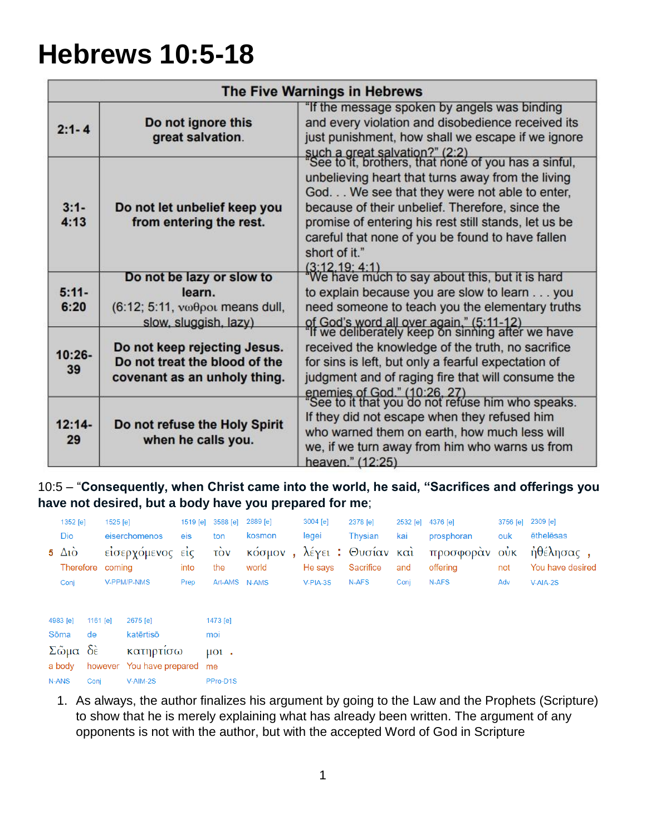# **Hebrews 10:5-18**

|                 |                                                                                                 | The Five Warnings in Hebrews                                                                                                                                                                                                                                                                          |
|-----------------|-------------------------------------------------------------------------------------------------|-------------------------------------------------------------------------------------------------------------------------------------------------------------------------------------------------------------------------------------------------------------------------------------------------------|
| $2:1 - 4$       | Do not ignore this<br>great salvation.                                                          | "If the message spoken by angels was binding<br>and every violation and disobedience received its<br>just punishment, how shall we escape if we ignore<br>such a great salvation?" (2:2)<br>"See to it, brothers, that none of you has a sinful,                                                      |
| $3:1-$<br>4:13  | Do not let unbelief keep you<br>from entering the rest.                                         | unbelieving heart that turns away from the living<br>God. We see that they were not able to enter,<br>because of their unbelief. Therefore, since the<br>promise of entering his rest still stands, let us be<br>careful that none of you be found to have fallen<br>short of it."<br>(3:12, 19; 4:1) |
| $5:11-$<br>6:20 | Do not be lazy or slow to<br>learn.<br>(6:12; 5:11, νωθροι means dull,<br>slow, sluggish, lazy) | We have much to say about this, but it is hard<br>to explain because you are slow to learn you<br>need someone to teach you the elementary truths                                                                                                                                                     |
| $10:26 -$<br>39 | Do not keep rejecting Jesus.<br>Do not treat the blood of the<br>covenant as an unholy thing.   | of God's word all over again," (5:11-12)<br>"If we deliberately keep on sinning after we have<br>received the knowledge of the truth, no sacrifice<br>for sins is left, but only a fearful expectation of<br>judgment and of raging fire that will consume the                                        |
| $12:14-$<br>29  | Do not refuse the Holy Spirit<br>when he calls you.                                             | enemies of God." (10:26, 27)<br>"See to it that you do not refuse him who speaks.<br>If they did not escape when they refused him<br>who warned them on earth, how much less will<br>we, if we turn away from him who warns us from<br>heaven." (12:25)                                               |

10:5 – "**Consequently, when Christ came into the world, he said, "Sacrifices and offerings you have not desired, but a body have you prepared for me**;

| 1352 [e]                                  |                  | 1525 [e] |                                                                 | 1519 [e] | 3588 [e]                                                      | 2889 [e]         | 3004 [e]   | 2378 [e]                       | 2532 [e] 4376 [e] |                           | 3756 [e] 2309 [e] |                               |
|-------------------------------------------|------------------|----------|-----------------------------------------------------------------|----------|---------------------------------------------------------------|------------------|------------|--------------------------------|-------------------|---------------------------|-------------------|-------------------------------|
| Dio                                       |                  |          | eiserchomenos                                                   | eis      | ton                                                           | kosmon           | legei      | Thysian                        | kai               | prosphoran                | ouk               | ēthelēsas                     |
| 5 $\Delta i\grave{o}$<br>Therefore coming |                  |          | είσερχόμενος είς                                                | into     | $\vec{10v}$<br>the                                            | κόσμον,<br>world | He says    | λέγει: Θυσίαν και<br>Sacrifice | and               | προσφοράν ούκ<br>offering | not               | ήθέλησας,<br>You have desired |
| Conj                                      |                  |          | V-PPM/P-NMS                                                     | Prep     | Art-AMS N-AMS                                                 |                  | $V-PIA-3S$ | N-AFS                          | Conj              | N-AFS                     | Adv               | $V-AIA-2S$                    |
| 4983 [e]<br>Sōma<br>Σῶμα δὲ<br>a body     | 1161 $[e]$<br>de |          | 2675 [e]<br>katērtisō<br>κατηρτίσω<br>however You have prepared |          | 1473 [e]<br>moi<br>$\mu$ <sub><math>\alpha</math></sub><br>me |                  |            |                                |                   |                           |                   |                               |
| N-ANS                                     | Conj             |          | V-AIM-2S                                                        |          | PPro-D1S                                                      |                  |            |                                |                   |                           |                   |                               |

1. As always, the author finalizes his argument by going to the Law and the Prophets (Scripture) to show that he is merely explaining what has already been written. The argument of any opponents is not with the author, but with the accepted Word of God in Scripture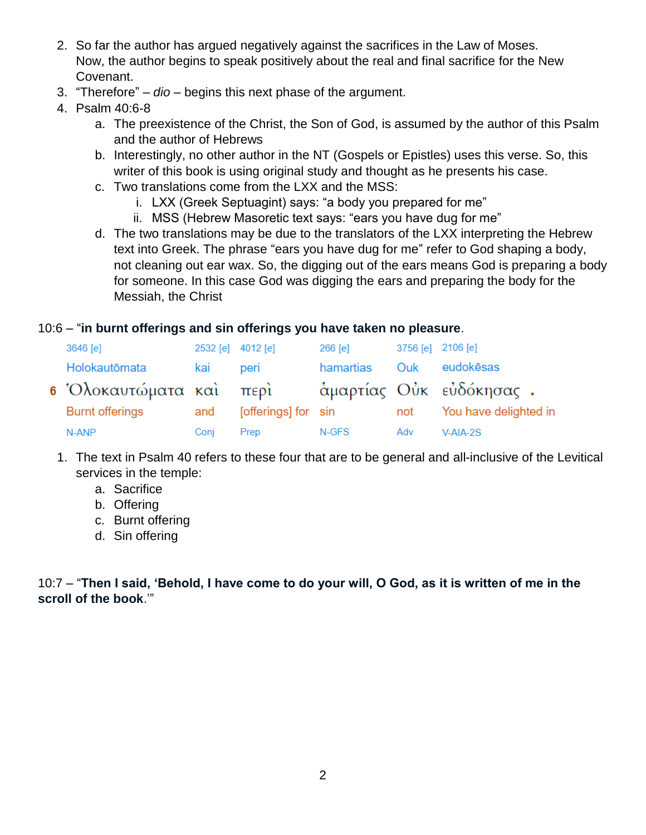- 2. So far the author has argued negatively against the sacrifices in the Law of Moses. Now, the author begins to speak positively about the real and final sacrifice for the New Covenant.
- 3. "Therefore" *dio* begins this next phase of the argument.
- 4. Psalm 40:6-8
	- a. The preexistence of the Christ, the Son of God, is assumed by the author of this Psalm and the author of Hebrews
	- b. Interestingly, no other author in the NT (Gospels or Epistles) uses this verse. So, this writer of this book is using original study and thought as he presents his case.
	- c. Two translations come from the LXX and the MSS:
		- i. LXX (Greek Septuagint) says: "a body you prepared for me"
		- ii. MSS (Hebrew Masoretic text says: "ears you have dug for me"
	- d. The two translations may be due to the translators of the LXX interpreting the Hebrew text into Greek. The phrase "ears you have dug for me" refer to God shaping a body, not cleaning out ear wax. So, the digging out of the ears means God is preparing a body for someone. In this case God was digging the ears and preparing the body for the Messiah, the Christ

## 10:6 – "**in burnt offerings and sin offerings you have taken no pleasure**.

| 3646 [e]                | 2532 [e] 4012 [e] |                     | $266$ [e] | 3756 [e] 2106 [e] |                         |
|-------------------------|-------------------|---------------------|-----------|-------------------|-------------------------|
| Holokautōmata           | kai               | peri                | hamartias | Ouk               | eudokēsas               |
| 6 Όλοκαυτώματα καὶ περὶ |                   |                     |           |                   | άμαρτίας Ούκ εὐδόκησας. |
| <b>Burnt offerings</b>  | and               | [offerings] for sin |           | not               | You have delighted in   |
| N-ANP                   | Conj              | Prep                | N-GFS     | Adv               | $V-AIA-2S$              |

- 1. The text in Psalm 40 refers to these four that are to be general and all-inclusive of the Levitical services in the temple:
	- a. Sacrifice
	- b. Offering
	- c. Burnt offering
	- d. Sin offering

10:7 – "**Then I said, 'Behold, I have come to do your will, O God, as it is written of me in the scroll of the book**.'"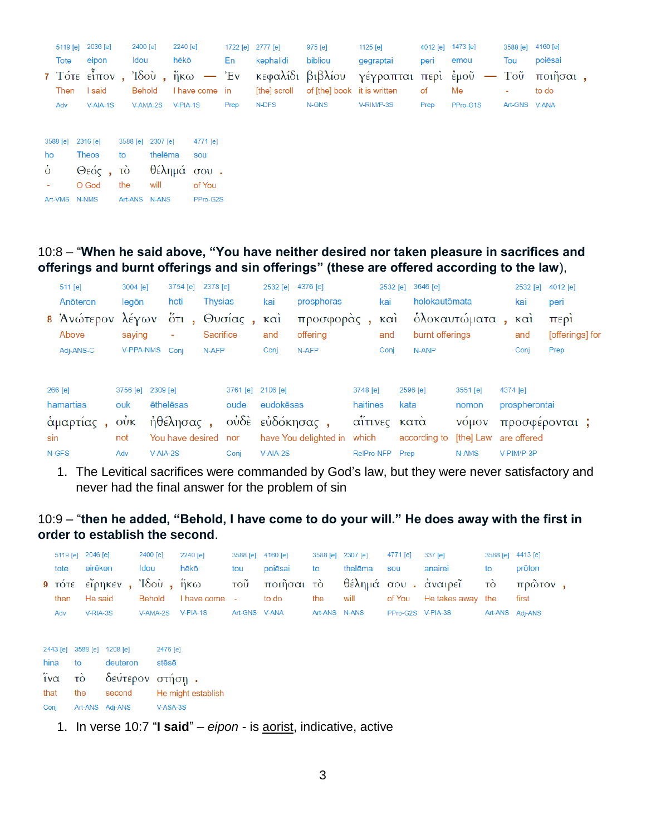|      | 5119 [e] 2036 [e] | 2400 [e]          | 2240 [e] |      | 1722 [e] 2777 [e] | 975 [e] | 1125 [e]                                                                            | 4012 [e] 1473 [e] |          |               | 3588 [e] 4160 [e] |  |
|------|-------------------|-------------------|----------|------|-------------------|---------|-------------------------------------------------------------------------------------|-------------------|----------|---------------|-------------------|--|
| Tote | eipon             | ldou              | hēkō     | En   | kephalidi         | bibliou | gegraptai                                                                           | peri              | emou     | Tou           | poiēsai           |  |
|      |                   |                   |          |      |                   |         | 7 Τότε εἶπον , Ἰδοὺ , ἥκω — Ἐν κεφαλίδι βιβλίου γέγραπται περὶ ἐμοῦ — Τοῦ ποιῆσαι , |                   |          |               |                   |  |
| Then | I said            | Behold            |          |      |                   |         | I have come in [the] scroll of [the] book it is written of                          |                   | Me       |               | to do             |  |
| Adv  | $V-AIA-1S$        | V-AMA-2S V-PIA-1S |          | Prep | N-DFS             | N-GNS   | V-RIM/P-3S                                                                          | Prep              | PPro-G1S | Art-GNS V-ANA |                   |  |
|      |                   |                   |          |      |                   |         |                                                                                     |                   |          |               |                   |  |

| 3588 [e] 2316 [e] |              |         | 3588 [e] 2307 [e] | 4771 [e] |
|-------------------|--------------|---------|-------------------|----------|
| ho                | Theos        | to      | thelēma           | SOU      |
| <sup>6</sup>      | Θεός, τὸ     |         | θέλημά σου.       |          |
|                   | O God        | the     | will              | of You   |
| Art-VMS           | <b>N-NMS</b> | Art-ANS | <b>N-ANS</b>      | PPro-G2S |

10:8 – "**When he said above, "You have neither desired nor taken pleasure in sacrifices and offerings and burnt offerings and sin offerings" (these are offered according to the law**),

|     | 511 [e]<br>Anōteron                            | 3004 [e]<br>legōn                                   |            | 3754 [e]<br>hoti               | 2378 [e]<br>Thysias |                           | 2532 [e]<br>kai    | 4376 [e]<br>prosphoras   |                            | 2532 [e]<br>kai          | 3646 [e]<br>holokautōmata                 |                                | 2532 [e] 4012 [e]<br>kai          | peri                    |
|-----|------------------------------------------------|-----------------------------------------------------|------------|--------------------------------|---------------------|---------------------------|--------------------|--------------------------|----------------------------|--------------------------|-------------------------------------------|--------------------------------|-----------------------------------|-------------------------|
|     | 8 Άνώτερον λέγων<br>Above                      | saying                                              |            | $\overline{0}$ τι,<br>٠        | <b>Sacrifice</b>    | Θυσίας,                   | $k\alpha i$<br>and | προσφοράς,<br>offering   |                            | $\kappa$ $\alpha$<br>and | burnt offerings                           | ὁλοκαυτώματα                   | $\kappa \alpha$<br>and            | περι<br>[offerings] for |
|     | Adj-ANS-C<br>266 [e]<br>hamartias<br>άμαρτίας, | <b>V-PPA-NMS</b><br>3756 [e] 2309 [e]<br>ouk<br>Ούκ |            | Coni<br>ēthelēsas<br>ήθέλησας, | N-AFP               | 3761 [e] 2106 [e]<br>oude | Conj<br>eudokēsas  | N-AFP<br>ούδε εύδόκησας, | 3748 [e]<br>haitines       | Conj                     | N-ANP<br>2596 [e]<br>kata<br>αΐτινες κατά | 3551 [e]<br>nomon<br>νόμον     | Conj<br>4374 [e]<br>prospherontai | Prep<br>προσφέρονται;   |
| sin | N-GFS                                          | not<br>Adv                                          | $V-AIA-2S$ | You have desired               |                     | nor<br>Conj               | $V-AIA-2S$         | have You delighted in    | which<br><b>RelPro-NFP</b> |                          | according to<br>Prep                      | [the] Law are offered<br>N-AMS | V-PIM/P-3P                        |                         |

1. The Levitical sacrifices were commanded by God's law, but they were never satisfactory and never had the final answer for the problem of sin

10:9 – "**then he added, "Behold, I have come to do your will." He does away with the first in order to establish the second**.

|                        |          | 5119 [e] 2046 [e]          |                 | 2400 [e]      |            | 2240 [e]           | 3588 [e]       | 4160 [e]   | 3588 [e]      | 2307 [e] | 4771 [e]          | $337$ [e]           | 3588 [e] 4413 [e] |         |  |
|------------------------|----------|----------------------------|-----------------|---------------|------------|--------------------|----------------|------------|---------------|----------|-------------------|---------------------|-------------------|---------|--|
|                        | tote     | eirēken                    |                 | Idou          |            | hēkō               | tou            | poiēsai    | to            | thelēma  | <b>SOU</b>        | anairei             | to                | prōton  |  |
|                        | $9$ TOTE |                            | εἴρηκεν ,       |               |            | Ίδοὺ, ἥκω          | τοῦ            | ποιῆσαι τὸ |               |          |                   | θέλημά σου. άναιρεῖ | τò                | πρῶτον, |  |
|                        | then     | He said                    |                 | <b>Behold</b> |            | I have come        | $\blacksquare$ | to do      | the           | will     | of You            | He takes away the   |                   | first   |  |
|                        | Adv      | $V-RIA-3S$                 |                 | $V-AMA-2S$    |            | $V-PIA-1S$         | Art-GNS V-ANA  |            | Art-ANS N-ANS |          | PPro-G2S V-PIA-3S |                     | Art-ANS Adj-ANS   |         |  |
|                        |          |                            |                 |               |            |                    |                |            |               |          |                   |                     |                   |         |  |
|                        |          | 2443 [e] 3588 [e] 1208 [e] |                 |               | 2476 [e]   |                    |                |            |               |          |                   |                     |                   |         |  |
|                        |          |                            |                 |               |            |                    |                |            |               |          |                   |                     |                   |         |  |
| hina                   |          | to                         | deuteron        |               | stēsē      |                    |                |            |               |          |                   |                     |                   |         |  |
| $\tilde{i} \nu \alpha$ |          | τò                         | δεύτερον στήση. |               |            |                    |                |            |               |          |                   |                     |                   |         |  |
| that                   |          | the                        | second          |               |            | He might establish |                |            |               |          |                   |                     |                   |         |  |
| Conj                   |          |                            | Art-ANS Adj-ANS |               | $V-ASA-3S$ |                    |                |            |               |          |                   |                     |                   |         |  |

1. In verse 10:7 "**I said**" – *eipon* - is aorist, indicative, active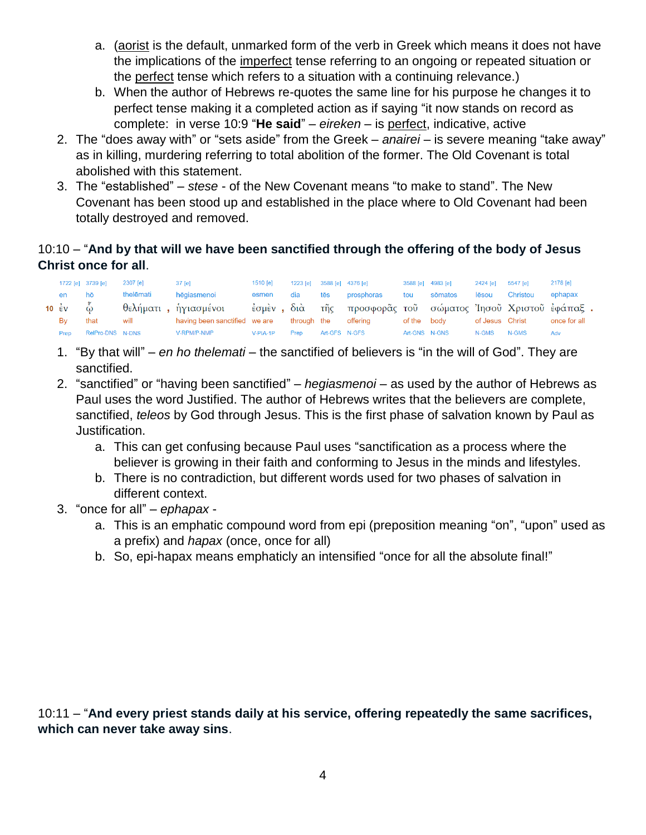- a. (aorist is the default, unmarked form of the verb in Greek which means it does not have the implications of the imperfect tense referring to an ongoing or repeated situation or the perfect tense which refers to a situation with a continuing relevance.)
- b. When the author of Hebrews re-quotes the same line for his purpose he changes it to perfect tense making it a completed action as if saying "it now stands on record as complete: in verse 10:9 "**He said**" – *eireken* – is perfect, indicative, active
- 2. The "does away with" or "sets aside" from the Greek *anairei* is severe meaning "take away" as in killing, murdering referring to total abolition of the former. The Old Covenant is total abolished with this statement.
- 3. The "established" *stese* of the New Covenant means "to make to stand". The New Covenant has been stood up and established in the place where to Old Covenant had been totally destroyed and removed.

## 10:10 – "**And by that will we have been sanctified through the offering of the body of Jesus Christ once for all**.

|                                 | 1722 [e] 3739 [e] | 2307 [e]  | 37 [e]                        | 1510 <b>[e]</b> |             |               | 1223 [e] 3588 [e] 4376 [e]                                 | 3588 [e] 4983 [e] |         | 2424 [e]        | 5547 [e] | 2178 [e]     |
|---------------------------------|-------------------|-----------|-------------------------------|-----------------|-------------|---------------|------------------------------------------------------------|-------------------|---------|-----------------|----------|--------------|
| en                              | hō                | thelēmati | hēgiasmenoi                   | esmen           | dia         | tēs           | prosphoras                                                 | tou               | sōmatos | lēsou           | Christou | ephapax      |
| 10 $\epsilon$ v $\ddot{\omega}$ |                   |           | θελήματι, ἡγιασμένοι          |                 |             |               | έσμεν, διὰ τῆς προσφορᾶς τοῦ σώματος Ἰησοῦ Χριστοῦ ἐφάπαξ. |                   |         |                 |          |              |
| Bv                              | that              | will      | having been sanctified we are |                 | through the |               | offerina                                                   | of the body       |         | of Jesus Christ |          | once for all |
| Prep                            | RelPro-DNS N-DNS  |           | V-RPM/P-NMP                   | $V-PIA-1P$      | Prep        | Art-GFS N-GFS |                                                            | Art-GNS N-GNS     |         | N-GMS           | N-GMS    | Adv          |

- 1. "By that will" *en ho thelemati* the sanctified of believers is "in the will of God". They are sanctified.
- 2. "sanctified" or "having been sanctified" *hegiasmenoi* as used by the author of Hebrews as Paul uses the word Justified. The author of Hebrews writes that the believers are complete, sanctified, *teleos* by God through Jesus. This is the first phase of salvation known by Paul as Justification.
	- a. This can get confusing because Paul uses "sanctification as a process where the believer is growing in their faith and conforming to Jesus in the minds and lifestyles.
	- b. There is no contradiction, but different words used for two phases of salvation in different context.
- 3. "once for all" *ephapax*
	- a. This is an emphatic compound word from epi (preposition meaning "on", "upon" used as a prefix) and *hapax* (once, once for all)
	- b. So, epi-hapax means emphaticly an intensified "once for all the absolute final!"

10:11 – "**And every priest stands daily at his service, offering repeatedly the same sacrifices, which can never take away sins**.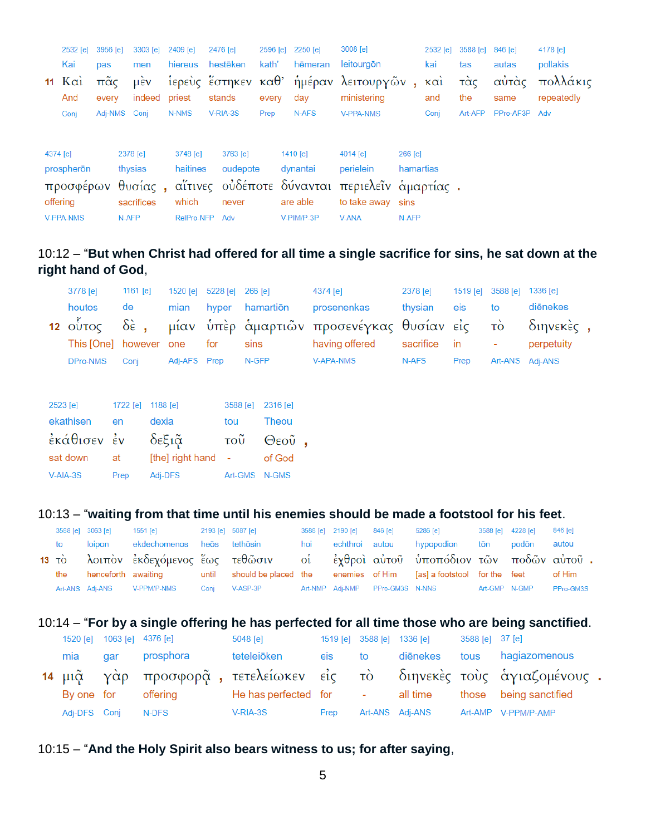|          | 2532 [e]              | 3956 [e]          | 3303 [e]                                                       | 2409 [e]             | 2476 [e]             |       | 2596 [e] 2250 [e]      | 3008 [e]                                              |                      | 2532 [e]   | 3588 [e]   | 846 [e]       | 4178 [e]               |
|----------|-----------------------|-------------------|----------------------------------------------------------------|----------------------|----------------------|-------|------------------------|-------------------------------------------------------|----------------------|------------|------------|---------------|------------------------|
|          | Kai                   | pas               | men                                                            | hiereus              | hestēken             | kath' | hēmeran                | leitourgōn                                            |                      | kai        | tas        | autas         | pollakis               |
|          | 11 $K\alpha i$<br>And | $\pi$ ᾶς<br>every | $\mathsf{\mu}\grave{\mathsf{\varepsilon}}\mathsf{v}$<br>indeed | priest               | stands               | every | day                    | ίερεὺς ἔστηκεν καθ' ἡμέραν λειτουργῶν,<br>ministering |                      | καὶ<br>and | τὰς<br>the | αὐτὰς<br>same | πολλάκις<br>repeatedly |
|          | Conj                  | Adj-NMS Conj      |                                                                | N-NMS                | V-RIA-3S             | Prep  | N-AFS                  | <b>V-PPA-NMS</b>                                      |                      | Conj       | Art-AFP    | PPro-AF3P     | Adv                    |
| 4374 [e] | prospherōn            |                   | 2378 [e]<br>thysias                                            | 3748 [e]<br>haitines | 3763 [e]<br>oudepote |       | 1410 $[e]$<br>dynantai | 4014 [e]<br>perielein                                 | 266 [e]<br>hamartias |            |            |               |                        |
|          |                       |                   | προσφέρων θυσίας,                                              |                      |                      |       |                        | αΐτινες οὐδέποτε δύνανται περιελεῖν ἁμαρτίας.         |                      |            |            |               |                        |
|          | offering              |                   | sacrifices                                                     | which                | never                |       | are able               | to take away sins                                     |                      |            |            |               |                        |
|          | <b>V-PPA-NMS</b>      |                   | N-AFP                                                          | <b>RelPro-NFP</b>    | Adv                  |       | V-PIM/P-3P             | <b>V-ANA</b>                                          | N-AFP                |            |            |               |                        |

## 10:12 – "**But when Christ had offered for all time a single sacrifice for sins, he sat down at the right hand of God**,

| 3778 [e]                   | 1161 [e] |              | 1520 [e] 5228 [e] 266 [e] |                 | 4374 [e]                                                            | 2378 [e] |        | 1519 [e] 3588 [e] 1336 [e] |  |
|----------------------------|----------|--------------|---------------------------|-----------------|---------------------------------------------------------------------|----------|--------|----------------------------|--|
| houtos                     | de de    | mian         |                           | hyper hamartiōn | prosenenkas                                                         | thysian  | eis to | diēnekes                   |  |
|                            |          |              |                           |                 | 12 ούτος δε, μίαν ύπερ άμαρτιών προσενέγκας θυσίαν είς το διηνεκες, |          |        |                            |  |
| This [One] however one for |          |              |                           | sins            | having offered sacrifice in -                                       |          |        | perpetuity                 |  |
| DPro-NMS                   | Coni     | Adj-AFS Prep |                           | N-GFP           | V-APA-NMS                                                           | N-AFS    | Prep   | Art-ANS Adj-ANS            |  |

| 2523 [e]    | 1722 [e] | 1188 [e]           | 3588 [e] 2316 [e] |               |  |
|-------------|----------|--------------------|-------------------|---------------|--|
| ekathisen   | en       | dexia              | tou               | Theou         |  |
| εκάθισεν έν |          | δεξιᾶ              | τοΰ               | $\Theta$ εοῦ, |  |
| sat down    | at       | [the] right hand - |                   | of God        |  |
| V-AIA-3S    | Prep     | Adi-DFS            | Art-GMS           | N-GMS         |  |

### 10:13 – "**waiting from that time until his enemies should be made a footstool for his feet**.

|     | 3588 [e] 3063 [e] | 1551 [e]                    |      | 2193 [e] 5087 [e]                                                                                   |     | 3588 [e] 2190 [e] | 846 [e] | 5286 [e]                        | 3588 [e] 4228 [e] |       | 846 [e]   |
|-----|-------------------|-----------------------------|------|-----------------------------------------------------------------------------------------------------|-----|-------------------|---------|---------------------------------|-------------------|-------|-----------|
| to  | loipon            | ekdechomenos heōs tethōsin  |      |                                                                                                     | hoi |                   |         | echthroi autou hypopodion       | tōn               | podōn | autou     |
|     |                   |                             |      | 13 τὸ λοιπὸν ἐκδεχόμενος ἕως τεθῶσιν - οἱ - ἐχθροὶ αὐτοῦ ὑποπόδιον τῶν ποδῶν αὐτοῦ .                |     |                   |         |                                 |                   |       |           |
| the |                   |                             |      | henceforth awaiting     until  should be placed the   enemies of Him  [as] a footstool for the feet |     |                   |         |                                 |                   |       | of Him    |
|     |                   | Art-ANS Adj-ANS V-PPM/P-NMS | Coni | $V-ASP-3P$                                                                                          |     |                   |         | Art-NMP Adj-NMP PPro-GM3S N-NNS | Art-GMP N-GMP     |       | PPro-GM3S |

## 10:14 – "**For by a single offering he has perfected for all time those who are being sanctified**.

|              |     | 1520 [e] 1063 [e] 4376 [e] | 5048 [e]                            |      |           | 1519 [e] 3588 [e] 1336 [e] 3588 [e] 37 [e] |                                                                     |  |
|--------------|-----|----------------------------|-------------------------------------|------|-----------|--------------------------------------------|---------------------------------------------------------------------|--|
| mia          | gar | prosphora                  | teteleiōken                         | eis  | <b>to</b> | diēnekes                                   | tous hagiazomenous                                                  |  |
|              |     |                            |                                     |      |           |                                            | 14 μια γάρ προσφορά, τετελείωκεν είς το διηνεκές τους άγιαζομένους. |  |
|              |     | By one for offering        | He has perfected for the seall time |      |           |                                            | those being sanctified                                              |  |
| Adj-DFS Conj |     | N-DFS                      | V-RIA-3S                            | Prep |           | Art-ANS Adj-ANS                            | Art-AMP V-PPM/P-AMP                                                 |  |

#### 10:15 – "**And the Holy Spirit also bears witness to us; for after saying**,